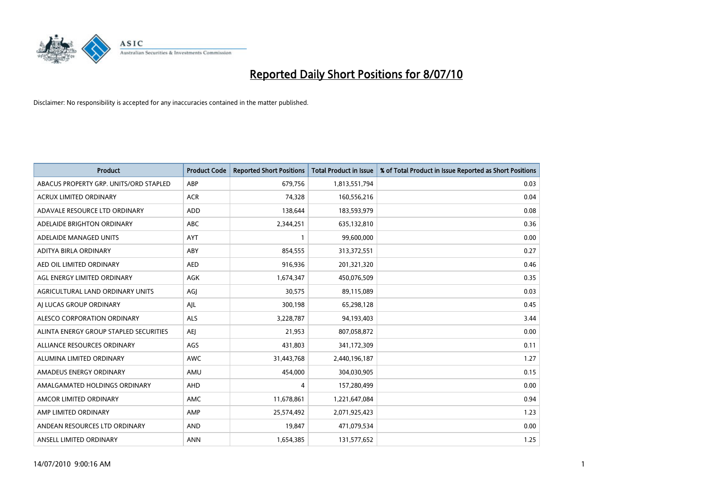

| <b>Product</b>                         | <b>Product Code</b> | <b>Reported Short Positions</b> | Total Product in Issue | % of Total Product in Issue Reported as Short Positions |
|----------------------------------------|---------------------|---------------------------------|------------------------|---------------------------------------------------------|
| ABACUS PROPERTY GRP. UNITS/ORD STAPLED | ABP                 | 679,756                         | 1,813,551,794          | 0.03                                                    |
| <b>ACRUX LIMITED ORDINARY</b>          | <b>ACR</b>          | 74.328                          | 160,556,216            | 0.04                                                    |
| ADAVALE RESOURCE LTD ORDINARY          | <b>ADD</b>          | 138,644                         | 183,593,979            | 0.08                                                    |
| ADELAIDE BRIGHTON ORDINARY             | <b>ABC</b>          | 2,344,251                       | 635,132,810            | 0.36                                                    |
| ADELAIDE MANAGED UNITS                 | AYT                 |                                 | 99,600,000             | 0.00                                                    |
| ADITYA BIRLA ORDINARY                  | ABY                 | 854,555                         | 313,372,551            | 0.27                                                    |
| AED OIL LIMITED ORDINARY               | <b>AED</b>          | 916,936                         | 201,321,320            | 0.46                                                    |
| AGL ENERGY LIMITED ORDINARY            | <b>AGK</b>          | 1,674,347                       | 450,076,509            | 0.35                                                    |
| AGRICULTURAL LAND ORDINARY UNITS       | AGJ                 | 30,575                          | 89,115,089             | 0.03                                                    |
| AI LUCAS GROUP ORDINARY                | AJL                 | 300,198                         | 65,298,128             | 0.45                                                    |
| ALESCO CORPORATION ORDINARY            | <b>ALS</b>          | 3,228,787                       | 94,193,403             | 3.44                                                    |
| ALINTA ENERGY GROUP STAPLED SECURITIES | <b>AEJ</b>          | 21,953                          | 807,058,872            | 0.00                                                    |
| ALLIANCE RESOURCES ORDINARY            | AGS                 | 431.803                         | 341,172,309            | 0.11                                                    |
| ALUMINA LIMITED ORDINARY               | <b>AWC</b>          | 31,443,768                      | 2,440,196,187          | 1.27                                                    |
| AMADEUS ENERGY ORDINARY                | AMU                 | 454,000                         | 304,030,905            | 0.15                                                    |
| AMALGAMATED HOLDINGS ORDINARY          | AHD                 | 4                               | 157,280,499            | 0.00                                                    |
| AMCOR LIMITED ORDINARY                 | <b>AMC</b>          | 11,678,861                      | 1,221,647,084          | 0.94                                                    |
| AMP LIMITED ORDINARY                   | AMP                 | 25,574,492                      | 2,071,925,423          | 1.23                                                    |
| ANDEAN RESOURCES LTD ORDINARY          | <b>AND</b>          | 19.847                          | 471,079,534            | 0.00                                                    |
| ANSELL LIMITED ORDINARY                | <b>ANN</b>          | 1,654,385                       | 131,577,652            | 1.25                                                    |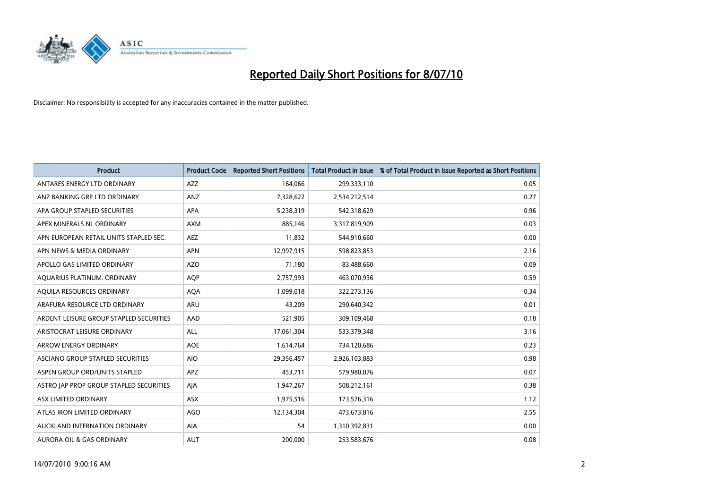

| <b>Product</b>                          | <b>Product Code</b> | <b>Reported Short Positions</b> | <b>Total Product in Issue</b> | % of Total Product in Issue Reported as Short Positions |
|-----------------------------------------|---------------------|---------------------------------|-------------------------------|---------------------------------------------------------|
| ANTARES ENERGY LTD ORDINARY             | <b>AZZ</b>          | 164,066                         | 299,333,110                   | 0.05                                                    |
| ANZ BANKING GRP LTD ORDINARY            | ANZ                 | 7,328,622                       | 2,534,212,514                 | 0.27                                                    |
| APA GROUP STAPLED SECURITIES            | <b>APA</b>          | 5,238,319                       | 542,318,629                   | 0.96                                                    |
| APEX MINERALS NL ORDINARY               | <b>AXM</b>          | 885,146                         | 3,317,819,909                 | 0.03                                                    |
| APN EUROPEAN RETAIL UNITS STAPLED SEC.  | <b>AEZ</b>          | 11,832                          | 544,910,660                   | 0.00                                                    |
| APN NEWS & MEDIA ORDINARY               | <b>APN</b>          | 12,997,915                      | 598,823,853                   | 2.16                                                    |
| APOLLO GAS LIMITED ORDINARY             | <b>AZO</b>          | 71,180                          | 83,488,660                    | 0.09                                                    |
| AQUARIUS PLATINUM. ORDINARY             | <b>AOP</b>          | 2,757,993                       | 463,070,936                   | 0.59                                                    |
| AQUILA RESOURCES ORDINARY               | <b>AQA</b>          | 1,099,018                       | 322,273,136                   | 0.34                                                    |
| ARAFURA RESOURCE LTD ORDINARY           | <b>ARU</b>          | 43,209                          | 290,640,342                   | 0.01                                                    |
| ARDENT LEISURE GROUP STAPLED SECURITIES | AAD                 | 521,905                         | 309,109,468                   | 0.18                                                    |
| ARISTOCRAT LEISURE ORDINARY             | <b>ALL</b>          | 17,061,304                      | 533,379,348                   | 3.16                                                    |
| <b>ARROW ENERGY ORDINARY</b>            | <b>AOE</b>          | 1,614,764                       | 734,120,686                   | 0.23                                                    |
| ASCIANO GROUP STAPLED SECURITIES        | <b>AIO</b>          | 29,356,457                      | 2,926,103,883                 | 0.98                                                    |
| ASPEN GROUP ORD/UNITS STAPLED           | <b>APZ</b>          | 453,711                         | 579,980,076                   | 0.07                                                    |
| ASTRO JAP PROP GROUP STAPLED SECURITIES | AIA                 | 1,947,267                       | 508,212,161                   | 0.38                                                    |
| ASX LIMITED ORDINARY                    | <b>ASX</b>          | 1,975,516                       | 173,576,316                   | 1.12                                                    |
| ATLAS IRON LIMITED ORDINARY             | AGO                 | 12,134,304                      | 473,673,816                   | 2.55                                                    |
| AUCKLAND INTERNATION ORDINARY           | <b>AIA</b>          | 54                              | 1,310,392,831                 | 0.00                                                    |
| <b>AURORA OIL &amp; GAS ORDINARY</b>    | <b>AUT</b>          | 200.000                         | 253,583,676                   | 0.08                                                    |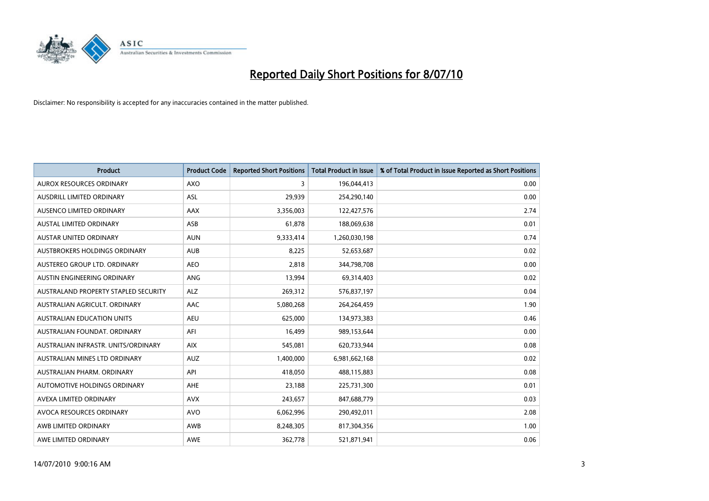

| <b>Product</b>                       | <b>Product Code</b> | <b>Reported Short Positions</b> | <b>Total Product in Issue</b> | % of Total Product in Issue Reported as Short Positions |
|--------------------------------------|---------------------|---------------------------------|-------------------------------|---------------------------------------------------------|
| <b>AUROX RESOURCES ORDINARY</b>      | <b>AXO</b>          | 3                               | 196,044,413                   | 0.00                                                    |
| AUSDRILL LIMITED ORDINARY            | <b>ASL</b>          | 29.939                          | 254,290,140                   | 0.00                                                    |
| AUSENCO LIMITED ORDINARY             | <b>AAX</b>          | 3,356,003                       | 122,427,576                   | 2.74                                                    |
| AUSTAL LIMITED ORDINARY              | ASB                 | 61,878                          | 188,069,638                   | 0.01                                                    |
| <b>AUSTAR UNITED ORDINARY</b>        | <b>AUN</b>          | 9,333,414                       | 1,260,030,198                 | 0.74                                                    |
| AUSTBROKERS HOLDINGS ORDINARY        | <b>AUB</b>          | 8,225                           | 52,653,687                    | 0.02                                                    |
| AUSTEREO GROUP LTD. ORDINARY         | <b>AEO</b>          | 2.818                           | 344,798,708                   | 0.00                                                    |
| AUSTIN ENGINEERING ORDINARY          | ANG                 | 13,994                          | 69,314,403                    | 0.02                                                    |
| AUSTRALAND PROPERTY STAPLED SECURITY | <b>ALZ</b>          | 269,312                         | 576,837,197                   | 0.04                                                    |
| AUSTRALIAN AGRICULT, ORDINARY        | <b>AAC</b>          | 5,080,268                       | 264,264,459                   | 1.90                                                    |
| <b>AUSTRALIAN EDUCATION UNITS</b>    | <b>AEU</b>          | 625,000                         | 134,973,383                   | 0.46                                                    |
| AUSTRALIAN FOUNDAT, ORDINARY         | AFI                 | 16,499                          | 989,153,644                   | 0.00                                                    |
| AUSTRALIAN INFRASTR, UNITS/ORDINARY  | <b>AIX</b>          | 545.081                         | 620,733,944                   | 0.08                                                    |
| AUSTRALIAN MINES LTD ORDINARY        | <b>AUZ</b>          | 1,400,000                       | 6,981,662,168                 | 0.02                                                    |
| AUSTRALIAN PHARM, ORDINARY           | API                 | 418,050                         | 488,115,883                   | 0.08                                                    |
| AUTOMOTIVE HOLDINGS ORDINARY         | <b>AHE</b>          | 23,188                          | 225,731,300                   | 0.01                                                    |
| AVEXA LIMITED ORDINARY               | <b>AVX</b>          | 243,657                         | 847,688,779                   | 0.03                                                    |
| AVOCA RESOURCES ORDINARY             | <b>AVO</b>          | 6,062,996                       | 290,492,011                   | 2.08                                                    |
| AWB LIMITED ORDINARY                 | AWB                 | 8,248,305                       | 817,304,356                   | 1.00                                                    |
| AWE LIMITED ORDINARY                 | <b>AWE</b>          | 362.778                         | 521,871,941                   | 0.06                                                    |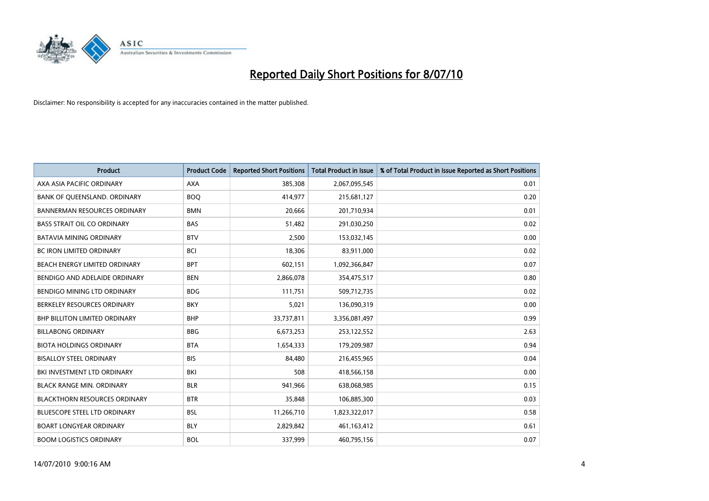

| <b>Product</b>                       | <b>Product Code</b> | <b>Reported Short Positions</b> | Total Product in Issue | % of Total Product in Issue Reported as Short Positions |
|--------------------------------------|---------------------|---------------------------------|------------------------|---------------------------------------------------------|
| AXA ASIA PACIFIC ORDINARY            | <b>AXA</b>          | 385,308                         | 2,067,095,545          | 0.01                                                    |
| BANK OF QUEENSLAND. ORDINARY         | <b>BOO</b>          | 414,977                         | 215,681,127            | 0.20                                                    |
| <b>BANNERMAN RESOURCES ORDINARY</b>  | <b>BMN</b>          | 20,666                          | 201,710,934            | 0.01                                                    |
| <b>BASS STRAIT OIL CO ORDINARY</b>   | <b>BAS</b>          | 51,482                          | 291,030,250            | 0.02                                                    |
| <b>BATAVIA MINING ORDINARY</b>       | <b>BTV</b>          | 2,500                           | 153,032,145            | 0.00                                                    |
| <b>BC IRON LIMITED ORDINARY</b>      | <b>BCI</b>          | 18,306                          | 83,911,000             | 0.02                                                    |
| BEACH ENERGY LIMITED ORDINARY        | <b>BPT</b>          | 602,151                         | 1,092,366,847          | 0.07                                                    |
| BENDIGO AND ADELAIDE ORDINARY        | <b>BEN</b>          | 2,866,078                       | 354,475,517            | 0.80                                                    |
| BENDIGO MINING LTD ORDINARY          | <b>BDG</b>          | 111,751                         | 509,712,735            | 0.02                                                    |
| BERKELEY RESOURCES ORDINARY          | <b>BKY</b>          | 5,021                           | 136,090,319            | 0.00                                                    |
| <b>BHP BILLITON LIMITED ORDINARY</b> | <b>BHP</b>          | 33,737,811                      | 3,356,081,497          | 0.99                                                    |
| <b>BILLABONG ORDINARY</b>            | <b>BBG</b>          | 6,673,253                       | 253,122,552            | 2.63                                                    |
| <b>BIOTA HOLDINGS ORDINARY</b>       | <b>BTA</b>          | 1.654.333                       | 179,209,987            | 0.94                                                    |
| <b>BISALLOY STEEL ORDINARY</b>       | <b>BIS</b>          | 84.480                          | 216,455,965            | 0.04                                                    |
| BKI INVESTMENT LTD ORDINARY          | BKI                 | 508                             | 418,566,158            | 0.00                                                    |
| <b>BLACK RANGE MIN. ORDINARY</b>     | <b>BLR</b>          | 941,966                         | 638,068,985            | 0.15                                                    |
| <b>BLACKTHORN RESOURCES ORDINARY</b> | <b>BTR</b>          | 35,848                          | 106,885,300            | 0.03                                                    |
| BLUESCOPE STEEL LTD ORDINARY         | <b>BSL</b>          | 11,266,710                      | 1,823,322,017          | 0.58                                                    |
| <b>BOART LONGYEAR ORDINARY</b>       | <b>BLY</b>          | 2,829,842                       | 461,163,412            | 0.61                                                    |
| <b>BOOM LOGISTICS ORDINARY</b>       | <b>BOL</b>          | 337.999                         | 460,795,156            | 0.07                                                    |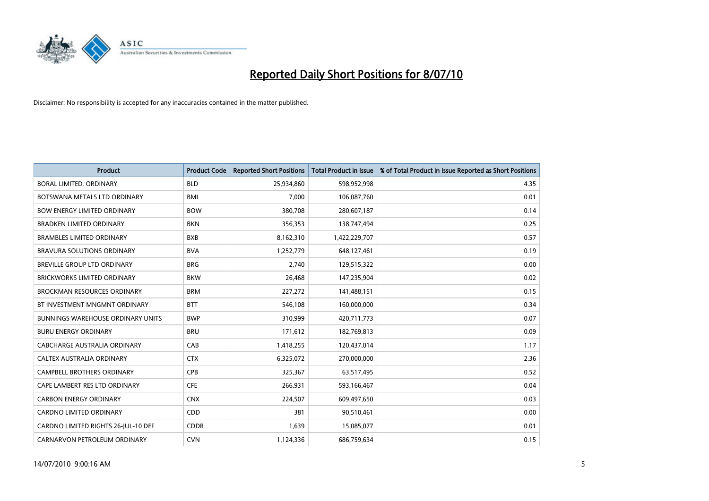

| <b>Product</b>                           | <b>Product Code</b> | <b>Reported Short Positions</b> | <b>Total Product in Issue</b> | % of Total Product in Issue Reported as Short Positions |
|------------------------------------------|---------------------|---------------------------------|-------------------------------|---------------------------------------------------------|
| <b>BORAL LIMITED, ORDINARY</b>           | <b>BLD</b>          | 25,934,860                      | 598,952,998                   | 4.35                                                    |
| BOTSWANA METALS LTD ORDINARY             | <b>BML</b>          | 7,000                           | 106,087,760                   | 0.01                                                    |
| <b>BOW ENERGY LIMITED ORDINARY</b>       | <b>BOW</b>          | 380,708                         | 280,607,187                   | 0.14                                                    |
| <b>BRADKEN LIMITED ORDINARY</b>          | <b>BKN</b>          | 356,353                         | 138,747,494                   | 0.25                                                    |
| <b>BRAMBLES LIMITED ORDINARY</b>         | <b>BXB</b>          | 8,162,310                       | 1,422,229,707                 | 0.57                                                    |
| <b>BRAVURA SOLUTIONS ORDINARY</b>        | <b>BVA</b>          | 1,252,779                       | 648,127,461                   | 0.19                                                    |
| BREVILLE GROUP LTD ORDINARY              | <b>BRG</b>          | 2,740                           | 129,515,322                   | 0.00                                                    |
| BRICKWORKS LIMITED ORDINARY              | <b>BKW</b>          | 26,468                          | 147,235,904                   | 0.02                                                    |
| <b>BROCKMAN RESOURCES ORDINARY</b>       | <b>BRM</b>          | 227,272                         | 141,488,151                   | 0.15                                                    |
| BT INVESTMENT MNGMNT ORDINARY            | <b>BTT</b>          | 546,108                         | 160,000,000                   | 0.34                                                    |
| <b>BUNNINGS WAREHOUSE ORDINARY UNITS</b> | <b>BWP</b>          | 310,999                         | 420,711,773                   | 0.07                                                    |
| <b>BURU ENERGY ORDINARY</b>              | <b>BRU</b>          | 171,612                         | 182,769,813                   | 0.09                                                    |
| CABCHARGE AUSTRALIA ORDINARY             | CAB                 | 1,418,255                       | 120,437,014                   | 1.17                                                    |
| CALTEX AUSTRALIA ORDINARY                | <b>CTX</b>          | 6,325,072                       | 270,000,000                   | 2.36                                                    |
| <b>CAMPBELL BROTHERS ORDINARY</b>        | <b>CPB</b>          | 325,367                         | 63,517,495                    | 0.52                                                    |
| CAPE LAMBERT RES LTD ORDINARY            | <b>CFE</b>          | 266,931                         | 593,166,467                   | 0.04                                                    |
| <b>CARBON ENERGY ORDINARY</b>            | <b>CNX</b>          | 224,507                         | 609,497,650                   | 0.03                                                    |
| CARDNO LIMITED ORDINARY                  | CDD                 | 381                             | 90,510,461                    | 0.00                                                    |
| CARDNO LIMITED RIGHTS 26-JUL-10 DEF      | <b>CDDR</b>         | 1,639                           | 15,085,077                    | 0.01                                                    |
| CARNARVON PETROLEUM ORDINARY             | <b>CVN</b>          | 1,124,336                       | 686,759,634                   | 0.15                                                    |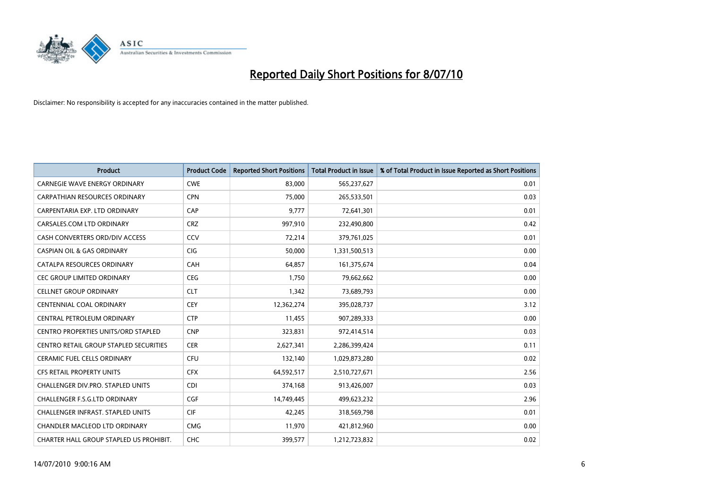

| <b>Product</b>                                | <b>Product Code</b> | <b>Reported Short Positions</b> | Total Product in Issue | % of Total Product in Issue Reported as Short Positions |
|-----------------------------------------------|---------------------|---------------------------------|------------------------|---------------------------------------------------------|
| <b>CARNEGIE WAVE ENERGY ORDINARY</b>          | <b>CWE</b>          | 83,000                          | 565,237,627            | 0.01                                                    |
| <b>CARPATHIAN RESOURCES ORDINARY</b>          | <b>CPN</b>          | 75.000                          | 265,533,501            | 0.03                                                    |
| CARPENTARIA EXP. LTD ORDINARY                 | CAP                 | 9,777                           | 72,641,301             | 0.01                                                    |
| CARSALES.COM LTD ORDINARY                     | <b>CRZ</b>          | 997,910                         | 232,490,800            | 0.42                                                    |
| CASH CONVERTERS ORD/DIV ACCESS                | CCV                 | 72,214                          | 379,761,025            | 0.01                                                    |
| <b>CASPIAN OIL &amp; GAS ORDINARY</b>         | <b>CIG</b>          | 50,000                          | 1,331,500,513          | 0.00                                                    |
| CATALPA RESOURCES ORDINARY                    | CAH                 | 64,857                          | 161,375,674            | 0.04                                                    |
| <b>CEC GROUP LIMITED ORDINARY</b>             | <b>CEG</b>          | 1,750                           | 79,662,662             | 0.00                                                    |
| <b>CELLNET GROUP ORDINARY</b>                 | <b>CLT</b>          | 1,342                           | 73,689,793             | 0.00                                                    |
| <b>CENTENNIAL COAL ORDINARY</b>               | <b>CEY</b>          | 12,362,274                      | 395,028,737            | 3.12                                                    |
| CENTRAL PETROLEUM ORDINARY                    | <b>CTP</b>          | 11,455                          | 907,289,333            | 0.00                                                    |
| <b>CENTRO PROPERTIES UNITS/ORD STAPLED</b>    | <b>CNP</b>          | 323,831                         | 972,414,514            | 0.03                                                    |
| <b>CENTRO RETAIL GROUP STAPLED SECURITIES</b> | <b>CER</b>          | 2.627.341                       | 2,286,399,424          | 0.11                                                    |
| <b>CERAMIC FUEL CELLS ORDINARY</b>            | <b>CFU</b>          | 132,140                         | 1,029,873,280          | 0.02                                                    |
| CFS RETAIL PROPERTY UNITS                     | <b>CFX</b>          | 64,592,517                      | 2,510,727,671          | 2.56                                                    |
| CHALLENGER DIV.PRO. STAPLED UNITS             | <b>CDI</b>          | 374,168                         | 913,426,007            | 0.03                                                    |
| <b>CHALLENGER F.S.G.LTD ORDINARY</b>          | CGF                 | 14,749,445                      | 499,623,232            | 2.96                                                    |
| CHALLENGER INFRAST. STAPLED UNITS             | <b>CIF</b>          | 42,245                          | 318,569,798            | 0.01                                                    |
| <b>CHANDLER MACLEOD LTD ORDINARY</b>          | <b>CMG</b>          | 11,970                          | 421,812,960            | 0.00                                                    |
| CHARTER HALL GROUP STAPLED US PROHIBIT.       | <b>CHC</b>          | 399.577                         | 1,212,723,832          | 0.02                                                    |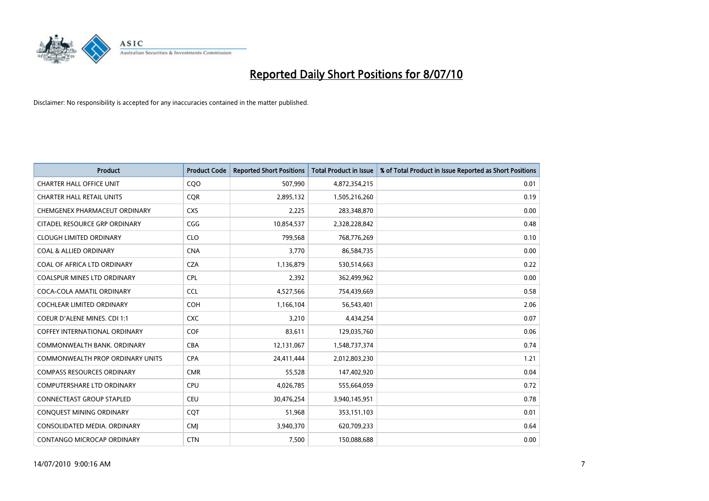

| <b>Product</b>                          | <b>Product Code</b> | <b>Reported Short Positions</b> | <b>Total Product in Issue</b> | % of Total Product in Issue Reported as Short Positions |
|-----------------------------------------|---------------------|---------------------------------|-------------------------------|---------------------------------------------------------|
| <b>CHARTER HALL OFFICE UNIT</b>         | CQO                 | 507,990                         | 4,872,354,215                 | 0.01                                                    |
| <b>CHARTER HALL RETAIL UNITS</b>        | <b>COR</b>          | 2,895,132                       | 1,505,216,260                 | 0.19                                                    |
| CHEMGENEX PHARMACEUT ORDINARY           | <b>CXS</b>          | 2,225                           | 283,348,870                   | 0.00                                                    |
| CITADEL RESOURCE GRP ORDINARY           | CGG                 | 10,854,537                      | 2,328,228,842                 | 0.48                                                    |
| <b>CLOUGH LIMITED ORDINARY</b>          | <b>CLO</b>          | 799,568                         | 768,776,269                   | 0.10                                                    |
| <b>COAL &amp; ALLIED ORDINARY</b>       | <b>CNA</b>          | 3.770                           | 86,584,735                    | 0.00                                                    |
| COAL OF AFRICA LTD ORDINARY             | <b>CZA</b>          | 1,136,879                       | 530,514,663                   | 0.22                                                    |
| COALSPUR MINES LTD ORDINARY             | <b>CPL</b>          | 2,392                           | 362,499,962                   | 0.00                                                    |
| COCA-COLA AMATIL ORDINARY               | <b>CCL</b>          | 4,527,566                       | 754,439,669                   | 0.58                                                    |
| <b>COCHLEAR LIMITED ORDINARY</b>        | <b>COH</b>          | 1,166,104                       | 56,543,401                    | 2.06                                                    |
| <b>COEUR D'ALENE MINES. CDI 1:1</b>     | <b>CXC</b>          | 3,210                           | 4,434,254                     | 0.07                                                    |
| <b>COFFEY INTERNATIONAL ORDINARY</b>    | <b>COF</b>          | 83,611                          | 129,035,760                   | 0.06                                                    |
| COMMONWEALTH BANK, ORDINARY             | <b>CBA</b>          | 12,131,067                      | 1,548,737,374                 | 0.74                                                    |
| <b>COMMONWEALTH PROP ORDINARY UNITS</b> | <b>CPA</b>          | 24,411,444                      | 2,012,803,230                 | 1.21                                                    |
| <b>COMPASS RESOURCES ORDINARY</b>       | <b>CMR</b>          | 55,528                          | 147,402,920                   | 0.04                                                    |
| <b>COMPUTERSHARE LTD ORDINARY</b>       | <b>CPU</b>          | 4,026,785                       | 555,664,059                   | 0.72                                                    |
| <b>CONNECTEAST GROUP STAPLED</b>        | <b>CEU</b>          | 30,476,254                      | 3,940,145,951                 | 0.78                                                    |
| CONQUEST MINING ORDINARY                | CQT                 | 51,968                          | 353,151,103                   | 0.01                                                    |
| CONSOLIDATED MEDIA, ORDINARY            | <b>CMI</b>          | 3,940,370                       | 620,709,233                   | 0.64                                                    |
| CONTANGO MICROCAP ORDINARY              | <b>CTN</b>          | 7,500                           | 150,088,688                   | 0.00                                                    |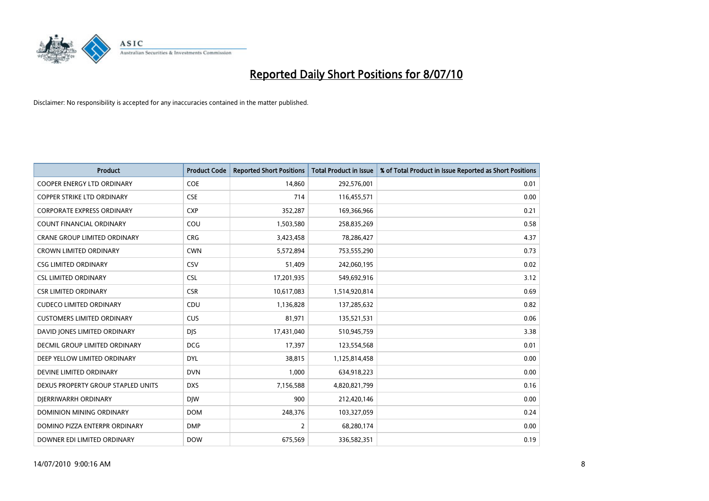

| <b>Product</b>                      | <b>Product Code</b> | <b>Reported Short Positions</b> | <b>Total Product in Issue</b> | % of Total Product in Issue Reported as Short Positions |
|-------------------------------------|---------------------|---------------------------------|-------------------------------|---------------------------------------------------------|
| <b>COOPER ENERGY LTD ORDINARY</b>   | <b>COE</b>          | 14,860                          | 292,576,001                   | 0.01                                                    |
| <b>COPPER STRIKE LTD ORDINARY</b>   | <b>CSE</b>          | 714                             | 116,455,571                   | 0.00                                                    |
| <b>CORPORATE EXPRESS ORDINARY</b>   | <b>CXP</b>          | 352,287                         | 169,366,966                   | 0.21                                                    |
| COUNT FINANCIAL ORDINARY            | COU                 | 1,503,580                       | 258,835,269                   | 0.58                                                    |
| <b>CRANE GROUP LIMITED ORDINARY</b> | <b>CRG</b>          | 3,423,458                       | 78,286,427                    | 4.37                                                    |
| <b>CROWN LIMITED ORDINARY</b>       | <b>CWN</b>          | 5,572,894                       | 753,555,290                   | 0.73                                                    |
| <b>CSG LIMITED ORDINARY</b>         | CSV                 | 51,409                          | 242,060,195                   | 0.02                                                    |
| <b>CSL LIMITED ORDINARY</b>         | <b>CSL</b>          | 17,201,935                      | 549,692,916                   | 3.12                                                    |
| <b>CSR LIMITED ORDINARY</b>         | <b>CSR</b>          | 10,617,083                      | 1,514,920,814                 | 0.69                                                    |
| <b>CUDECO LIMITED ORDINARY</b>      | CDU                 | 1,136,828                       | 137,285,632                   | 0.82                                                    |
| <b>CUSTOMERS LIMITED ORDINARY</b>   | CUS                 | 81,971                          | 135,521,531                   | 0.06                                                    |
| DAVID JONES LIMITED ORDINARY        | <b>DJS</b>          | 17,431,040                      | 510,945,759                   | 3.38                                                    |
| DECMIL GROUP LIMITED ORDINARY       | <b>DCG</b>          | 17.397                          | 123,554,568                   | 0.01                                                    |
| DEEP YELLOW LIMITED ORDINARY        | <b>DYL</b>          | 38.815                          | 1,125,814,458                 | 0.00                                                    |
| DEVINE LIMITED ORDINARY             | <b>DVN</b>          | 1,000                           | 634,918,223                   | 0.00                                                    |
| DEXUS PROPERTY GROUP STAPLED UNITS  | <b>DXS</b>          | 7,156,588                       | 4,820,821,799                 | 0.16                                                    |
| DIERRIWARRH ORDINARY                | <b>DIW</b>          | 900                             | 212,420,146                   | 0.00                                                    |
| DOMINION MINING ORDINARY            | <b>DOM</b>          | 248,376                         | 103,327,059                   | 0.24                                                    |
| DOMINO PIZZA ENTERPR ORDINARY       | <b>DMP</b>          | $\overline{2}$                  | 68,280,174                    | 0.00                                                    |
| DOWNER EDI LIMITED ORDINARY         | <b>DOW</b>          | 675,569                         | 336,582,351                   | 0.19                                                    |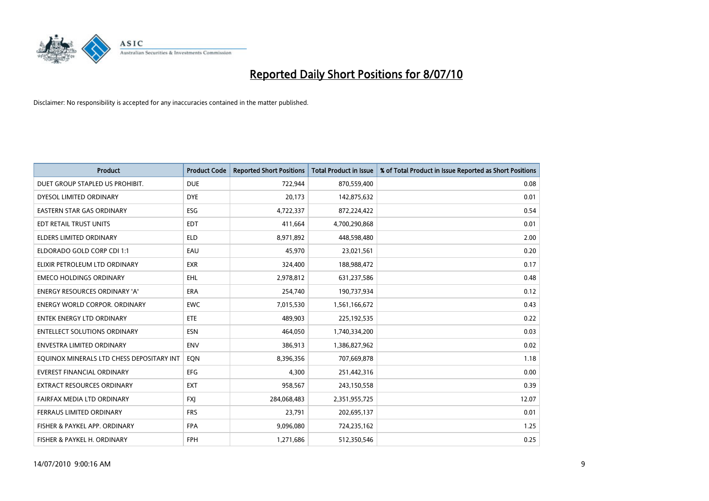

| <b>Product</b>                            | <b>Product Code</b> | <b>Reported Short Positions</b> | <b>Total Product in Issue</b> | % of Total Product in Issue Reported as Short Positions |
|-------------------------------------------|---------------------|---------------------------------|-------------------------------|---------------------------------------------------------|
| DUET GROUP STAPLED US PROHIBIT.           | <b>DUE</b>          | 722.944                         | 870,559,400                   | 0.08                                                    |
| DYESOL LIMITED ORDINARY                   | <b>DYE</b>          | 20,173                          | 142,875,632                   | 0.01                                                    |
| <b>EASTERN STAR GAS ORDINARY</b>          | <b>ESG</b>          | 4,722,337                       | 872,224,422                   | 0.54                                                    |
| EDT RETAIL TRUST UNITS                    | <b>EDT</b>          | 411,664                         | 4,700,290,868                 | 0.01                                                    |
| <b>ELDERS LIMITED ORDINARY</b>            | <b>ELD</b>          | 8,971,892                       | 448,598,480                   | 2.00                                                    |
| ELDORADO GOLD CORP CDI 1:1                | EAU                 | 45,970                          | 23,021,561                    | 0.20                                                    |
| ELIXIR PETROLEUM LTD ORDINARY             | <b>EXR</b>          | 324,400                         | 188,988,472                   | 0.17                                                    |
| <b>EMECO HOLDINGS ORDINARY</b>            | <b>EHL</b>          | 2,978,812                       | 631,237,586                   | 0.48                                                    |
| ENERGY RESOURCES ORDINARY 'A'             | <b>ERA</b>          | 254,740                         | 190,737,934                   | 0.12                                                    |
| <b>ENERGY WORLD CORPOR, ORDINARY</b>      | <b>EWC</b>          | 7,015,530                       | 1,561,166,672                 | 0.43                                                    |
| <b>ENTEK ENERGY LTD ORDINARY</b>          | <b>ETE</b>          | 489,903                         | 225,192,535                   | 0.22                                                    |
| <b>ENTELLECT SOLUTIONS ORDINARY</b>       | <b>ESN</b>          | 464,050                         | 1,740,334,200                 | 0.03                                                    |
| <b>ENVESTRA LIMITED ORDINARY</b>          | <b>ENV</b>          | 386,913                         | 1,386,827,962                 | 0.02                                                    |
| EQUINOX MINERALS LTD CHESS DEPOSITARY INT | <b>EON</b>          | 8,396,356                       | 707,669,878                   | 1.18                                                    |
| <b>EVEREST FINANCIAL ORDINARY</b>         | <b>EFG</b>          | 4.300                           | 251,442,316                   | 0.00                                                    |
| <b>EXTRACT RESOURCES ORDINARY</b>         | <b>EXT</b>          | 958,567                         | 243,150,558                   | 0.39                                                    |
| FAIRFAX MEDIA LTD ORDINARY                | <b>FXI</b>          | 284,068,483                     | 2,351,955,725                 | 12.07                                                   |
| FERRAUS LIMITED ORDINARY                  | <b>FRS</b>          | 23,791                          | 202,695,137                   | 0.01                                                    |
| FISHER & PAYKEL APP. ORDINARY             | <b>FPA</b>          | 9,096,080                       | 724,235,162                   | 1.25                                                    |
| FISHER & PAYKEL H. ORDINARY               | <b>FPH</b>          | 1,271,686                       | 512,350,546                   | 0.25                                                    |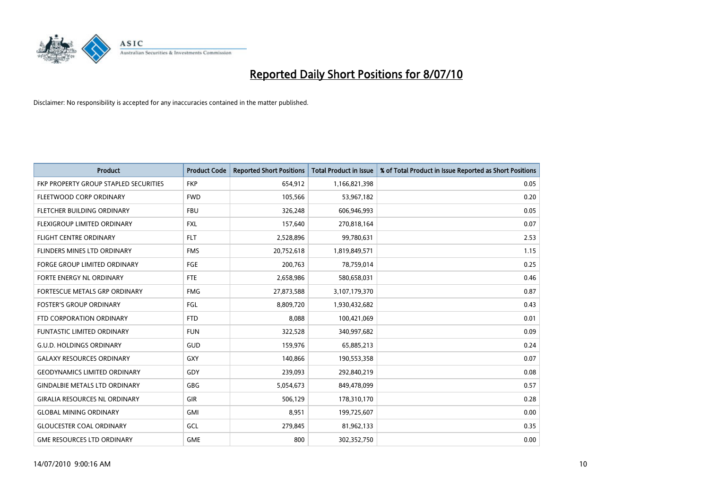

| <b>Product</b>                        | <b>Product Code</b> | <b>Reported Short Positions</b> | <b>Total Product in Issue</b> | % of Total Product in Issue Reported as Short Positions |
|---------------------------------------|---------------------|---------------------------------|-------------------------------|---------------------------------------------------------|
| FKP PROPERTY GROUP STAPLED SECURITIES | <b>FKP</b>          | 654,912                         | 1,166,821,398                 | 0.05                                                    |
| FLEETWOOD CORP ORDINARY               | <b>FWD</b>          | 105,566                         | 53,967,182                    | 0.20                                                    |
| FLETCHER BUILDING ORDINARY            | <b>FBU</b>          | 326,248                         | 606,946,993                   | 0.05                                                    |
| FLEXIGROUP LIMITED ORDINARY           | <b>FXL</b>          | 157,640                         | 270,818,164                   | 0.07                                                    |
| <b>FLIGHT CENTRE ORDINARY</b>         | <b>FLT</b>          | 2,528,896                       | 99,780,631                    | 2.53                                                    |
| <b>FLINDERS MINES LTD ORDINARY</b>    | <b>FMS</b>          | 20,752,618                      | 1,819,849,571                 | 1.15                                                    |
| <b>FORGE GROUP LIMITED ORDINARY</b>   | FGE                 | 200.763                         | 78,759,014                    | 0.25                                                    |
| FORTE ENERGY NL ORDINARY              | <b>FTE</b>          | 2,658,986                       | 580,658,031                   | 0.46                                                    |
| FORTESCUE METALS GRP ORDINARY         | <b>FMG</b>          | 27,873,588                      | 3,107,179,370                 | 0.87                                                    |
| <b>FOSTER'S GROUP ORDINARY</b>        | FGL                 | 8,809,720                       | 1,930,432,682                 | 0.43                                                    |
| FTD CORPORATION ORDINARY              | <b>FTD</b>          | 8,088                           | 100,421,069                   | 0.01                                                    |
| <b>FUNTASTIC LIMITED ORDINARY</b>     | <b>FUN</b>          | 322,528                         | 340,997,682                   | 0.09                                                    |
| <b>G.U.D. HOLDINGS ORDINARY</b>       | GUD                 | 159,976                         | 65,885,213                    | 0.24                                                    |
| <b>GALAXY RESOURCES ORDINARY</b>      | <b>GXY</b>          | 140.866                         | 190,553,358                   | 0.07                                                    |
| <b>GEODYNAMICS LIMITED ORDINARY</b>   | GDY                 | 239,093                         | 292,840,219                   | 0.08                                                    |
| <b>GINDALBIE METALS LTD ORDINARY</b>  | <b>GBG</b>          | 5,054,673                       | 849,478,099                   | 0.57                                                    |
| <b>GIRALIA RESOURCES NL ORDINARY</b>  | GIR                 | 506,129                         | 178,310,170                   | 0.28                                                    |
| <b>GLOBAL MINING ORDINARY</b>         | <b>GMI</b>          | 8,951                           | 199,725,607                   | 0.00                                                    |
| <b>GLOUCESTER COAL ORDINARY</b>       | GCL                 | 279,845                         | 81,962,133                    | 0.35                                                    |
| <b>GME RESOURCES LTD ORDINARY</b>     | <b>GME</b>          | 800                             | 302,352,750                   | 0.00                                                    |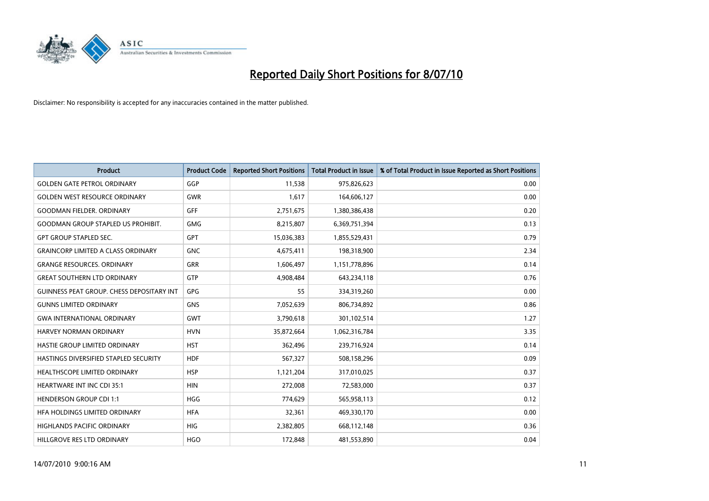

| <b>Product</b>                                   | <b>Product Code</b> | <b>Reported Short Positions</b> | <b>Total Product in Issue</b> | % of Total Product in Issue Reported as Short Positions |
|--------------------------------------------------|---------------------|---------------------------------|-------------------------------|---------------------------------------------------------|
| <b>GOLDEN GATE PETROL ORDINARY</b>               | GGP                 | 11.538                          | 975,826,623                   | 0.00                                                    |
| <b>GOLDEN WEST RESOURCE ORDINARY</b>             | <b>GWR</b>          | 1,617                           | 164,606,127                   | 0.00                                                    |
| <b>GOODMAN FIELDER, ORDINARY</b>                 | <b>GFF</b>          | 2,751,675                       | 1,380,386,438                 | 0.20                                                    |
| <b>GOODMAN GROUP STAPLED US PROHIBIT.</b>        | <b>GMG</b>          | 8,215,807                       | 6,369,751,394                 | 0.13                                                    |
| <b>GPT GROUP STAPLED SEC.</b>                    | <b>GPT</b>          | 15,036,383                      | 1,855,529,431                 | 0.79                                                    |
| <b>GRAINCORP LIMITED A CLASS ORDINARY</b>        | <b>GNC</b>          | 4,675,411                       | 198,318,900                   | 2.34                                                    |
| <b>GRANGE RESOURCES. ORDINARY</b>                | <b>GRR</b>          | 1,606,497                       | 1,151,778,896                 | 0.14                                                    |
| <b>GREAT SOUTHERN LTD ORDINARY</b>               | <b>GTP</b>          | 4,908,484                       | 643,234,118                   | 0.76                                                    |
| <b>GUINNESS PEAT GROUP. CHESS DEPOSITARY INT</b> | GPG                 | 55                              | 334,319,260                   | 0.00                                                    |
| <b>GUNNS LIMITED ORDINARY</b>                    | <b>GNS</b>          | 7,052,639                       | 806,734,892                   | 0.86                                                    |
| <b>GWA INTERNATIONAL ORDINARY</b>                | <b>GWT</b>          | 3,790,618                       | 301,102,514                   | 1.27                                                    |
| HARVEY NORMAN ORDINARY                           | <b>HVN</b>          | 35,872,664                      | 1,062,316,784                 | 3.35                                                    |
| HASTIE GROUP LIMITED ORDINARY                    | <b>HST</b>          | 362,496                         | 239,716,924                   | 0.14                                                    |
| HASTINGS DIVERSIFIED STAPLED SECURITY            | <b>HDF</b>          | 567,327                         | 508,158,296                   | 0.09                                                    |
| HEALTHSCOPE LIMITED ORDINARY                     | <b>HSP</b>          | 1,121,204                       | 317,010,025                   | 0.37                                                    |
| <b>HEARTWARE INT INC CDI 35:1</b>                | <b>HIN</b>          | 272,008                         | 72,583,000                    | 0.37                                                    |
| <b>HENDERSON GROUP CDI 1:1</b>                   | <b>HGG</b>          | 774,629                         | 565,958,113                   | 0.12                                                    |
| HFA HOLDINGS LIMITED ORDINARY                    | <b>HFA</b>          | 32,361                          | 469,330,170                   | 0.00                                                    |
| <b>HIGHLANDS PACIFIC ORDINARY</b>                | <b>HIG</b>          | 2,382,805                       | 668,112,148                   | 0.36                                                    |
| HILLGROVE RES LTD ORDINARY                       | <b>HGO</b>          | 172,848                         | 481,553,890                   | 0.04                                                    |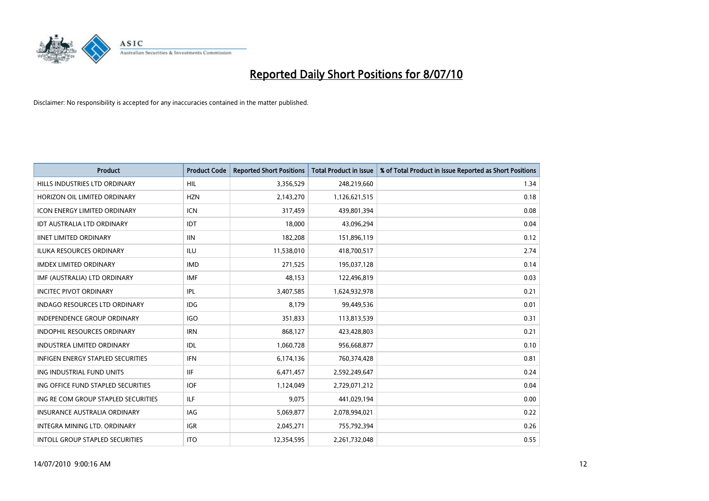

| <b>Product</b>                           | <b>Product Code</b> | <b>Reported Short Positions</b> | <b>Total Product in Issue</b> | % of Total Product in Issue Reported as Short Positions |
|------------------------------------------|---------------------|---------------------------------|-------------------------------|---------------------------------------------------------|
| HILLS INDUSTRIES LTD ORDINARY            | <b>HIL</b>          | 3,356,529                       | 248,219,660                   | 1.34                                                    |
| HORIZON OIL LIMITED ORDINARY             | <b>HZN</b>          | 2,143,270                       | 1,126,621,515                 | 0.18                                                    |
| <b>ICON ENERGY LIMITED ORDINARY</b>      | <b>ICN</b>          | 317,459                         | 439,801,394                   | 0.08                                                    |
| IDT AUSTRALIA LTD ORDINARY               | IDT                 | 18,000                          | 43,096,294                    | 0.04                                                    |
| <b>IINET LIMITED ORDINARY</b>            | <b>IIN</b>          | 182,208                         | 151,896,119                   | 0.12                                                    |
| <b>ILUKA RESOURCES ORDINARY</b>          | <b>ILU</b>          | 11,538,010                      | 418,700,517                   | 2.74                                                    |
| <b>IMDEX LIMITED ORDINARY</b>            | <b>IMD</b>          | 271,525                         | 195,037,128                   | 0.14                                                    |
| IMF (AUSTRALIA) LTD ORDINARY             | <b>IMF</b>          | 48,153                          | 122,496,819                   | 0.03                                                    |
| <b>INCITEC PIVOT ORDINARY</b>            | <b>IPL</b>          | 3,407,585                       | 1,624,932,978                 | 0.21                                                    |
| <b>INDAGO RESOURCES LTD ORDINARY</b>     | <b>IDG</b>          | 8,179                           | 99,449,536                    | 0.01                                                    |
| <b>INDEPENDENCE GROUP ORDINARY</b>       | <b>IGO</b>          | 351,833                         | 113,813,539                   | 0.31                                                    |
| INDOPHIL RESOURCES ORDINARY              | <b>IRN</b>          | 868,127                         | 423,428,803                   | 0.21                                                    |
| <b>INDUSTREA LIMITED ORDINARY</b>        | IDL                 | 1,060,728                       | 956,668,877                   | 0.10                                                    |
| <b>INFIGEN ENERGY STAPLED SECURITIES</b> | <b>IFN</b>          | 6,174,136                       | 760,374,428                   | 0.81                                                    |
| ING INDUSTRIAL FUND UNITS                | <b>IIF</b>          | 6,471,457                       | 2,592,249,647                 | 0.24                                                    |
| ING OFFICE FUND STAPLED SECURITIES       | <b>IOF</b>          | 1,124,049                       | 2,729,071,212                 | 0.04                                                    |
| ING RE COM GROUP STAPLED SECURITIES      | <b>ILF</b>          | 9,075                           | 441,029,194                   | 0.00                                                    |
| INSURANCE AUSTRALIA ORDINARY             | <b>IAG</b>          | 5,069,877                       | 2,078,994,021                 | 0.22                                                    |
| INTEGRA MINING LTD, ORDINARY             | <b>IGR</b>          | 2,045,271                       | 755,792,394                   | 0.26                                                    |
| INTOLL GROUP STAPLED SECURITIES          | <b>ITO</b>          | 12,354,595                      | 2,261,732,048                 | 0.55                                                    |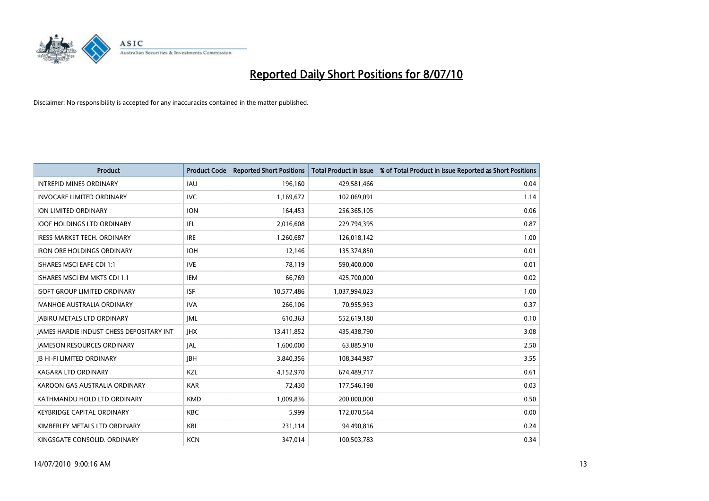

| <b>Product</b>                                  | <b>Product Code</b> | <b>Reported Short Positions</b> | <b>Total Product in Issue</b> | % of Total Product in Issue Reported as Short Positions |
|-------------------------------------------------|---------------------|---------------------------------|-------------------------------|---------------------------------------------------------|
| <b>INTREPID MINES ORDINARY</b>                  | <b>IAU</b>          | 196,160                         | 429,581,466                   | 0.04                                                    |
| <b>INVOCARE LIMITED ORDINARY</b>                | <b>IVC</b>          | 1,169,672                       | 102,069,091                   | 1.14                                                    |
| ION LIMITED ORDINARY                            | <b>ION</b>          | 164,453                         | 256,365,105                   | 0.06                                                    |
| <b>IOOF HOLDINGS LTD ORDINARY</b>               | IFL.                | 2,016,608                       | 229,794,395                   | 0.87                                                    |
| <b>IRESS MARKET TECH. ORDINARY</b>              | <b>IRE</b>          | 1,260,687                       | 126,018,142                   | 1.00                                                    |
| <b>IRON ORE HOLDINGS ORDINARY</b>               | <b>IOH</b>          | 12,146                          | 135,374,850                   | 0.01                                                    |
| <b>ISHARES MSCI EAFE CDI 1:1</b>                | <b>IVE</b>          | 78.119                          | 590,400,000                   | 0.01                                                    |
| ISHARES MSCI EM MKTS CDI 1:1                    | <b>IEM</b>          | 66,769                          | 425,700,000                   | 0.02                                                    |
| <b>ISOFT GROUP LIMITED ORDINARY</b>             | <b>ISF</b>          | 10,577,486                      | 1,037,994,023                 | 1.00                                                    |
| <b>IVANHOE AUSTRALIA ORDINARY</b>               | <b>IVA</b>          | 266,106                         | 70,955,953                    | 0.37                                                    |
| <b>JABIRU METALS LTD ORDINARY</b>               | <b>IML</b>          | 610,363                         | 552,619,180                   | 0.10                                                    |
| <b>JAMES HARDIE INDUST CHESS DEPOSITARY INT</b> | <b>IHX</b>          | 13,411,852                      | 435,438,790                   | 3.08                                                    |
| <b>JAMESON RESOURCES ORDINARY</b>               | <b>JAL</b>          | 1,600,000                       | 63,885,910                    | 2.50                                                    |
| <b>IB HI-FI LIMITED ORDINARY</b>                | <b>IBH</b>          | 3,840,356                       | 108,344,987                   | 3.55                                                    |
| KAGARA LTD ORDINARY                             | KZL                 | 4,152,970                       | 674,489,717                   | 0.61                                                    |
| KAROON GAS AUSTRALIA ORDINARY                   | <b>KAR</b>          | 72,430                          | 177,546,198                   | 0.03                                                    |
| KATHMANDU HOLD LTD ORDINARY                     | <b>KMD</b>          | 1,009,836                       | 200,000,000                   | 0.50                                                    |
| <b>KEYBRIDGE CAPITAL ORDINARY</b>               | <b>KBC</b>          | 5,999                           | 172,070,564                   | 0.00                                                    |
| KIMBERLEY METALS LTD ORDINARY                   | <b>KBL</b>          | 231,114                         | 94,490,816                    | 0.24                                                    |
| KINGSGATE CONSOLID. ORDINARY                    | <b>KCN</b>          | 347,014                         | 100,503,783                   | 0.34                                                    |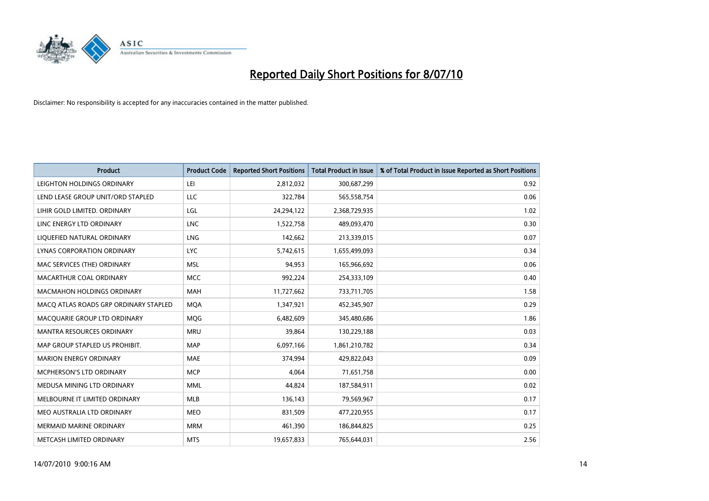

| <b>Product</b>                        | <b>Product Code</b> | <b>Reported Short Positions</b> | <b>Total Product in Issue</b> | % of Total Product in Issue Reported as Short Positions |
|---------------------------------------|---------------------|---------------------------------|-------------------------------|---------------------------------------------------------|
| LEIGHTON HOLDINGS ORDINARY            | LEI                 | 2,812,032                       | 300,687,299                   | 0.92                                                    |
| LEND LEASE GROUP UNIT/ORD STAPLED     | LLC                 | 322,784                         | 565,558,754                   | 0.06                                                    |
| LIHIR GOLD LIMITED. ORDINARY          | LGL                 | 24,294,122                      | 2,368,729,935                 | 1.02                                                    |
| LINC ENERGY LTD ORDINARY              | <b>LNC</b>          | 1,522,758                       | 489,093,470                   | 0.30                                                    |
| LIOUEFIED NATURAL ORDINARY            | LNG                 | 142,662                         | 213,339,015                   | 0.07                                                    |
| <b>LYNAS CORPORATION ORDINARY</b>     | <b>LYC</b>          | 5,742,615                       | 1,655,499,093                 | 0.34                                                    |
| MAC SERVICES (THE) ORDINARY           | <b>MSL</b>          | 94,953                          | 165,966,692                   | 0.06                                                    |
| MACARTHUR COAL ORDINARY               | <b>MCC</b>          | 992,224                         | 254,333,109                   | 0.40                                                    |
| MACMAHON HOLDINGS ORDINARY            | <b>MAH</b>          | 11,727,662                      | 733,711,705                   | 1.58                                                    |
| MACO ATLAS ROADS GRP ORDINARY STAPLED | <b>MOA</b>          | 1,347,921                       | 452,345,907                   | 0.29                                                    |
| MACQUARIE GROUP LTD ORDINARY          | MQG                 | 6,482,609                       | 345,480,686                   | 1.86                                                    |
| <b>MANTRA RESOURCES ORDINARY</b>      | <b>MRU</b>          | 39,864                          | 130,229,188                   | 0.03                                                    |
| MAP GROUP STAPLED US PROHIBIT.        | <b>MAP</b>          | 6,097,166                       | 1,861,210,782                 | 0.34                                                    |
| <b>MARION ENERGY ORDINARY</b>         | <b>MAE</b>          | 374,994                         | 429,822,043                   | 0.09                                                    |
| MCPHERSON'S LTD ORDINARY              | <b>MCP</b>          | 4,064                           | 71,651,758                    | 0.00                                                    |
| MEDUSA MINING LTD ORDINARY            | <b>MML</b>          | 44,824                          | 187,584,911                   | 0.02                                                    |
| MELBOURNE IT LIMITED ORDINARY         | MLB                 | 136,143                         | 79,569,967                    | 0.17                                                    |
| MEO AUSTRALIA LTD ORDINARY            | <b>MEO</b>          | 831,509                         | 477,220,955                   | 0.17                                                    |
| <b>MERMAID MARINE ORDINARY</b>        | <b>MRM</b>          | 461,390                         | 186,844,825                   | 0.25                                                    |
| METCASH LIMITED ORDINARY              | <b>MTS</b>          | 19,657,833                      | 765,644,031                   | 2.56                                                    |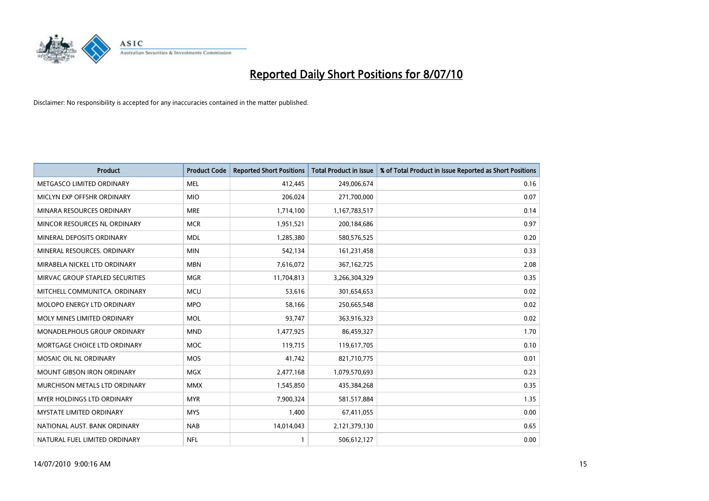

| <b>Product</b>                    | <b>Product Code</b> | <b>Reported Short Positions</b> | <b>Total Product in Issue</b> | % of Total Product in Issue Reported as Short Positions |
|-----------------------------------|---------------------|---------------------------------|-------------------------------|---------------------------------------------------------|
| METGASCO LIMITED ORDINARY         | <b>MEL</b>          | 412,445                         | 249,006,674                   | 0.16                                                    |
| MICLYN EXP OFFSHR ORDINARY        | <b>MIO</b>          | 206,024                         | 271,700,000                   | 0.07                                                    |
| MINARA RESOURCES ORDINARY         | <b>MRE</b>          | 1,714,100                       | 1,167,783,517                 | 0.14                                                    |
| MINCOR RESOURCES NL ORDINARY      | <b>MCR</b>          | 1,951,521                       | 200,184,686                   | 0.97                                                    |
| MINERAL DEPOSITS ORDINARY         | <b>MDL</b>          | 1,285,380                       | 580,576,525                   | 0.20                                                    |
| MINERAL RESOURCES, ORDINARY       | <b>MIN</b>          | 542,134                         | 161,231,458                   | 0.33                                                    |
| MIRABELA NICKEL LTD ORDINARY      | <b>MBN</b>          | 7,616,072                       | 367, 162, 725                 | 2.08                                                    |
| MIRVAC GROUP STAPLED SECURITIES   | <b>MGR</b>          | 11,704,813                      | 3,266,304,329                 | 0.35                                                    |
| MITCHELL COMMUNITCA, ORDINARY     | <b>MCU</b>          | 53,616                          | 301,654,653                   | 0.02                                                    |
| MOLOPO ENERGY LTD ORDINARY        | <b>MPO</b>          | 58,166                          | 250,665,548                   | 0.02                                                    |
| MOLY MINES LIMITED ORDINARY       | <b>MOL</b>          | 93,747                          | 363,916,323                   | 0.02                                                    |
| MONADELPHOUS GROUP ORDINARY       | <b>MND</b>          | 1,477,925                       | 86,459,327                    | 1.70                                                    |
| MORTGAGE CHOICE LTD ORDINARY      | <b>MOC</b>          | 119,715                         | 119,617,705                   | 0.10                                                    |
| MOSAIC OIL NL ORDINARY            | <b>MOS</b>          | 41,742                          | 821,710,775                   | 0.01                                                    |
| <b>MOUNT GIBSON IRON ORDINARY</b> | <b>MGX</b>          | 2,477,168                       | 1,079,570,693                 | 0.23                                                    |
| MURCHISON METALS LTD ORDINARY     | <b>MMX</b>          | 1,545,850                       | 435,384,268                   | 0.35                                                    |
| MYER HOLDINGS LTD ORDINARY        | <b>MYR</b>          | 7,900,324                       | 581,517,884                   | 1.35                                                    |
| MYSTATE LIMITED ORDINARY          | <b>MYS</b>          | 1,400                           | 67,411,055                    | 0.00                                                    |
| NATIONAL AUST. BANK ORDINARY      | <b>NAB</b>          | 14,014,043                      | 2,121,379,130                 | 0.65                                                    |
| NATURAL FUEL LIMITED ORDINARY     | <b>NFL</b>          |                                 | 506,612,127                   | 0.00                                                    |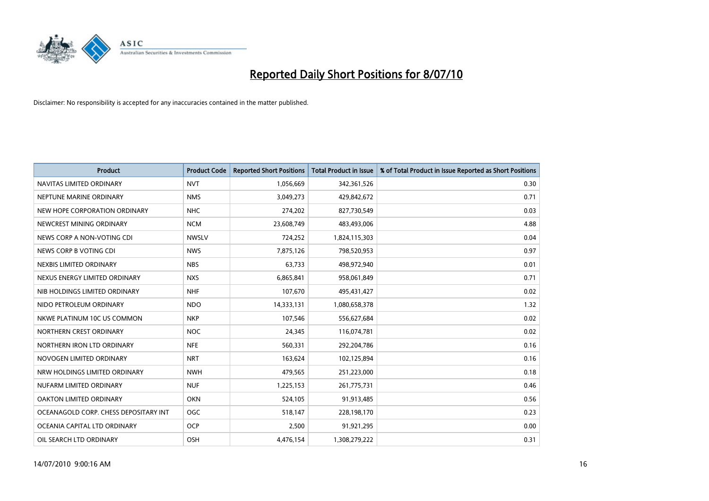

| <b>Product</b>                        | <b>Product Code</b> | <b>Reported Short Positions</b> | <b>Total Product in Issue</b> | % of Total Product in Issue Reported as Short Positions |
|---------------------------------------|---------------------|---------------------------------|-------------------------------|---------------------------------------------------------|
| NAVITAS LIMITED ORDINARY              | <b>NVT</b>          | 1,056,669                       | 342,361,526                   | 0.30                                                    |
| NEPTUNE MARINE ORDINARY               | <b>NMS</b>          | 3,049,273                       | 429,842,672                   | 0.71                                                    |
| NEW HOPE CORPORATION ORDINARY         | <b>NHC</b>          | 274,202                         | 827,730,549                   | 0.03                                                    |
| NEWCREST MINING ORDINARY              | <b>NCM</b>          | 23,608,749                      | 483,493,006                   | 4.88                                                    |
| NEWS CORP A NON-VOTING CDI            | <b>NWSLV</b>        | 724,252                         | 1,824,115,303                 | 0.04                                                    |
| NEWS CORP B VOTING CDI                | <b>NWS</b>          | 7,875,126                       | 798,520,953                   | 0.97                                                    |
| NEXBIS LIMITED ORDINARY               | <b>NBS</b>          | 63,733                          | 498,972,940                   | 0.01                                                    |
| NEXUS ENERGY LIMITED ORDINARY         | <b>NXS</b>          | 6,865,841                       | 958,061,849                   | 0.71                                                    |
| NIB HOLDINGS LIMITED ORDINARY         | <b>NHF</b>          | 107,670                         | 495,431,427                   | 0.02                                                    |
| NIDO PETROLEUM ORDINARY               | <b>NDO</b>          | 14,333,131                      | 1,080,658,378                 | 1.32                                                    |
| NKWE PLATINUM 10C US COMMON           | <b>NKP</b>          | 107,546                         | 556,627,684                   | 0.02                                                    |
| NORTHERN CREST ORDINARY               | <b>NOC</b>          | 24,345                          | 116,074,781                   | 0.02                                                    |
| NORTHERN IRON LTD ORDINARY            | <b>NFE</b>          | 560,331                         | 292,204,786                   | 0.16                                                    |
| NOVOGEN LIMITED ORDINARY              | <b>NRT</b>          | 163,624                         | 102,125,894                   | 0.16                                                    |
| NRW HOLDINGS LIMITED ORDINARY         | <b>NWH</b>          | 479,565                         | 251,223,000                   | 0.18                                                    |
| NUFARM LIMITED ORDINARY               | <b>NUF</b>          | 1,225,153                       | 261,775,731                   | 0.46                                                    |
| OAKTON LIMITED ORDINARY               | <b>OKN</b>          | 524,105                         | 91,913,485                    | 0.56                                                    |
| OCEANAGOLD CORP. CHESS DEPOSITARY INT | <b>OGC</b>          | 518,147                         | 228,198,170                   | 0.23                                                    |
| OCEANIA CAPITAL LTD ORDINARY          | <b>OCP</b>          | 2,500                           | 91,921,295                    | 0.00                                                    |
| OIL SEARCH LTD ORDINARY               | OSH                 | 4,476,154                       | 1,308,279,222                 | 0.31                                                    |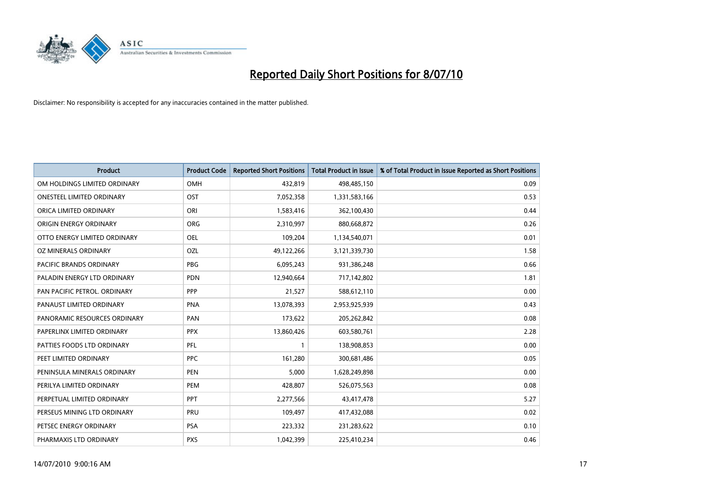

| <b>Product</b>                 | <b>Product Code</b> | <b>Reported Short Positions</b> | <b>Total Product in Issue</b> | % of Total Product in Issue Reported as Short Positions |
|--------------------------------|---------------------|---------------------------------|-------------------------------|---------------------------------------------------------|
| OM HOLDINGS LIMITED ORDINARY   | OMH                 | 432,819                         | 498,485,150                   | 0.09                                                    |
| ONESTEEL LIMITED ORDINARY      | OST                 | 7,052,358                       | 1,331,583,166                 | 0.53                                                    |
| ORICA LIMITED ORDINARY         | ORI                 | 1,583,416                       | 362,100,430                   | 0.44                                                    |
| ORIGIN ENERGY ORDINARY         | <b>ORG</b>          | 2,310,997                       | 880,668,872                   | 0.26                                                    |
| OTTO ENERGY LIMITED ORDINARY   | OEL                 | 109,204                         | 1,134,540,071                 | 0.01                                                    |
| OZ MINERALS ORDINARY           | <b>OZL</b>          | 49,122,266                      | 3,121,339,730                 | 1.58                                                    |
| <b>PACIFIC BRANDS ORDINARY</b> | <b>PBG</b>          | 6,095,243                       | 931,386,248                   | 0.66                                                    |
| PALADIN ENERGY LTD ORDINARY    | <b>PDN</b>          | 12,940,664                      | 717,142,802                   | 1.81                                                    |
| PAN PACIFIC PETROL. ORDINARY   | PPP                 | 21,527                          | 588,612,110                   | 0.00                                                    |
| PANAUST LIMITED ORDINARY       | <b>PNA</b>          | 13,078,393                      | 2,953,925,939                 | 0.43                                                    |
| PANORAMIC RESOURCES ORDINARY   | PAN                 | 173,622                         | 205,262,842                   | 0.08                                                    |
| PAPERLINX LIMITED ORDINARY     | <b>PPX</b>          | 13,860,426                      | 603,580,761                   | 2.28                                                    |
| PATTIES FOODS LTD ORDINARY     | PFL                 |                                 | 138,908,853                   | 0.00                                                    |
| PEET LIMITED ORDINARY          | <b>PPC</b>          | 161,280                         | 300,681,486                   | 0.05                                                    |
| PENINSULA MINERALS ORDINARY    | <b>PEN</b>          | 5,000                           | 1,628,249,898                 | 0.00                                                    |
| PERILYA LIMITED ORDINARY       | PEM                 | 428,807                         | 526,075,563                   | 0.08                                                    |
| PERPETUAL LIMITED ORDINARY     | PPT                 | 2,277,566                       | 43,417,478                    | 5.27                                                    |
| PERSEUS MINING LTD ORDINARY    | PRU                 | 109,497                         | 417,432,088                   | 0.02                                                    |
| PETSEC ENERGY ORDINARY         | <b>PSA</b>          | 223,332                         | 231,283,622                   | 0.10                                                    |
| PHARMAXIS LTD ORDINARY         | <b>PXS</b>          | 1,042,399                       | 225,410,234                   | 0.46                                                    |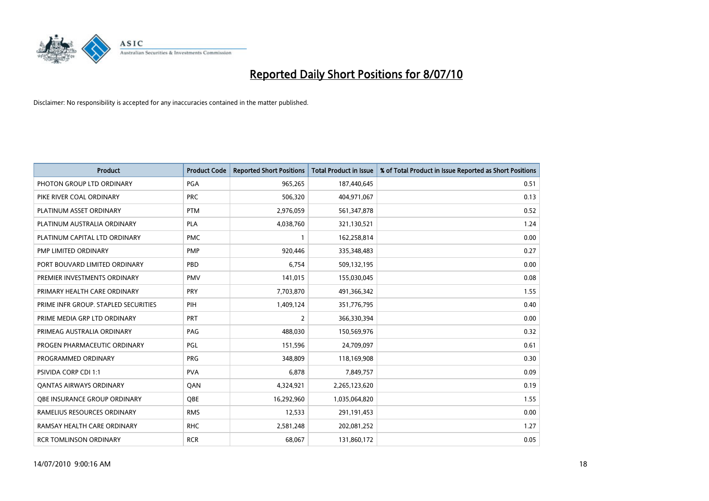

| <b>Product</b>                       | <b>Product Code</b> | <b>Reported Short Positions</b> | Total Product in Issue | % of Total Product in Issue Reported as Short Positions |
|--------------------------------------|---------------------|---------------------------------|------------------------|---------------------------------------------------------|
| PHOTON GROUP LTD ORDINARY            | PGA                 | 965,265                         | 187,440,645            | 0.51                                                    |
| PIKE RIVER COAL ORDINARY             | <b>PRC</b>          | 506,320                         | 404,971,067            | 0.13                                                    |
| PLATINUM ASSET ORDINARY              | <b>PTM</b>          | 2,976,059                       | 561,347,878            | 0.52                                                    |
| PLATINUM AUSTRALIA ORDINARY          | PLA                 | 4,038,760                       | 321,130,521            | 1.24                                                    |
| PLATINUM CAPITAL LTD ORDINARY        | <b>PMC</b>          |                                 | 162,258,814            | 0.00                                                    |
| PMP LIMITED ORDINARY                 | <b>PMP</b>          | 920,446                         | 335,348,483            | 0.27                                                    |
| PORT BOUVARD LIMITED ORDINARY        | PBD                 | 6,754                           | 509,132,195            | 0.00                                                    |
| PREMIER INVESTMENTS ORDINARY         | <b>PMV</b>          | 141,015                         | 155,030,045            | 0.08                                                    |
| PRIMARY HEALTH CARE ORDINARY         | <b>PRY</b>          | 7,703,870                       | 491,366,342            | 1.55                                                    |
| PRIME INFR GROUP. STAPLED SECURITIES | PIH                 | 1,409,124                       | 351,776,795            | 0.40                                                    |
| PRIME MEDIA GRP LTD ORDINARY         | <b>PRT</b>          | $\overline{2}$                  | 366,330,394            | 0.00                                                    |
| PRIMEAG AUSTRALIA ORDINARY           | PAG                 | 488,030                         | 150,569,976            | 0.32                                                    |
| PROGEN PHARMACEUTIC ORDINARY         | PGL                 | 151,596                         | 24,709,097             | 0.61                                                    |
| PROGRAMMED ORDINARY                  | <b>PRG</b>          | 348,809                         | 118,169,908            | 0.30                                                    |
| <b>PSIVIDA CORP CDI 1:1</b>          | <b>PVA</b>          | 6,878                           | 7,849,757              | 0.09                                                    |
| <b>QANTAS AIRWAYS ORDINARY</b>       | QAN                 | 4,324,921                       | 2,265,123,620          | 0.19                                                    |
| <b>OBE INSURANCE GROUP ORDINARY</b>  | OBE                 | 16,292,960                      | 1,035,064,820          | 1.55                                                    |
| RAMELIUS RESOURCES ORDINARY          | <b>RMS</b>          | 12,533                          | 291,191,453            | 0.00                                                    |
| RAMSAY HEALTH CARE ORDINARY          | <b>RHC</b>          | 2,581,248                       | 202,081,252            | 1.27                                                    |
| <b>RCR TOMLINSON ORDINARY</b>        | <b>RCR</b>          | 68,067                          | 131,860,172            | 0.05                                                    |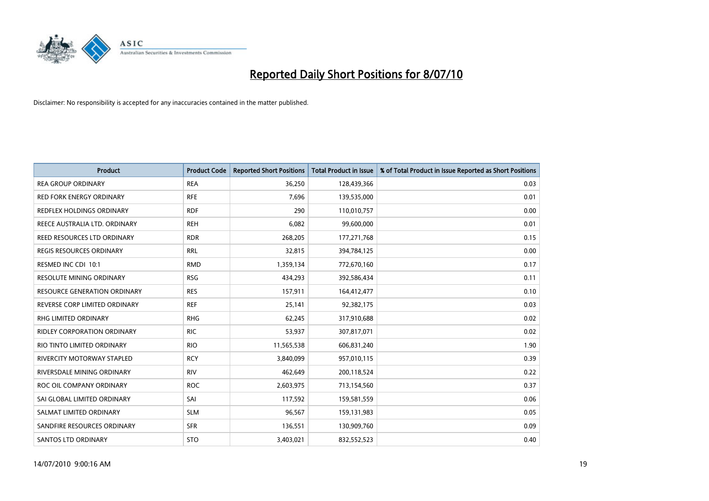

| <b>Product</b>                      | <b>Product Code</b> | <b>Reported Short Positions</b> | <b>Total Product in Issue</b> | % of Total Product in Issue Reported as Short Positions |
|-------------------------------------|---------------------|---------------------------------|-------------------------------|---------------------------------------------------------|
| <b>REA GROUP ORDINARY</b>           | <b>REA</b>          | 36,250                          | 128,439,366                   | 0.03                                                    |
| <b>RED FORK ENERGY ORDINARY</b>     | <b>RFE</b>          | 7.696                           | 139,535,000                   | 0.01                                                    |
| REDFLEX HOLDINGS ORDINARY           | <b>RDF</b>          | 290                             | 110,010,757                   | 0.00                                                    |
| REECE AUSTRALIA LTD. ORDINARY       | <b>REH</b>          | 6,082                           | 99,600,000                    | 0.01                                                    |
| REED RESOURCES LTD ORDINARY         | <b>RDR</b>          | 268,205                         | 177, 271, 768                 | 0.15                                                    |
| <b>REGIS RESOURCES ORDINARY</b>     | <b>RRL</b>          | 32,815                          | 394,784,125                   | 0.00                                                    |
| RESMED INC CDI 10:1                 | <b>RMD</b>          | 1,359,134                       | 772,670,160                   | 0.17                                                    |
| <b>RESOLUTE MINING ORDINARY</b>     | <b>RSG</b>          | 434,293                         | 392,586,434                   | 0.11                                                    |
| <b>RESOURCE GENERATION ORDINARY</b> | <b>RES</b>          | 157,911                         | 164,412,477                   | 0.10                                                    |
| REVERSE CORP LIMITED ORDINARY       | <b>REF</b>          | 25,141                          | 92,382,175                    | 0.03                                                    |
| RHG LIMITED ORDINARY                | <b>RHG</b>          | 62,245                          | 317,910,688                   | 0.02                                                    |
| <b>RIDLEY CORPORATION ORDINARY</b>  | <b>RIC</b>          | 53,937                          | 307,817,071                   | 0.02                                                    |
| RIO TINTO LIMITED ORDINARY          | <b>RIO</b>          | 11,565,538                      | 606,831,240                   | 1.90                                                    |
| <b>RIVERCITY MOTORWAY STAPLED</b>   | <b>RCY</b>          | 3,840,099                       | 957,010,115                   | 0.39                                                    |
| RIVERSDALE MINING ORDINARY          | <b>RIV</b>          | 462,649                         | 200,118,524                   | 0.22                                                    |
| ROC OIL COMPANY ORDINARY            | <b>ROC</b>          | 2,603,975                       | 713,154,560                   | 0.37                                                    |
| SAI GLOBAL LIMITED ORDINARY         | SAI                 | 117,592                         | 159,581,559                   | 0.06                                                    |
| SALMAT LIMITED ORDINARY             | <b>SLM</b>          | 96,567                          | 159,131,983                   | 0.05                                                    |
| SANDFIRE RESOURCES ORDINARY         | <b>SFR</b>          | 136,551                         | 130,909,760                   | 0.09                                                    |
| <b>SANTOS LTD ORDINARY</b>          | <b>STO</b>          | 3,403,021                       | 832,552,523                   | 0.40                                                    |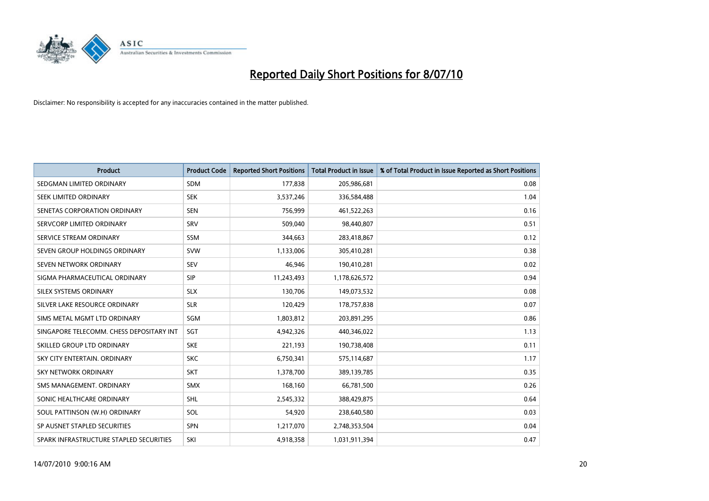

| <b>Product</b>                           | <b>Product Code</b> | <b>Reported Short Positions</b> | <b>Total Product in Issue</b> | % of Total Product in Issue Reported as Short Positions |
|------------------------------------------|---------------------|---------------------------------|-------------------------------|---------------------------------------------------------|
| SEDGMAN LIMITED ORDINARY                 | <b>SDM</b>          | 177,838                         | 205,986,681                   | 0.08                                                    |
| SEEK LIMITED ORDINARY                    | <b>SEK</b>          | 3,537,246                       | 336,584,488                   | 1.04                                                    |
| SENETAS CORPORATION ORDINARY             | <b>SEN</b>          | 756,999                         | 461,522,263                   | 0.16                                                    |
| SERVCORP LIMITED ORDINARY                | SRV                 | 509,040                         | 98,440,807                    | 0.51                                                    |
| SERVICE STREAM ORDINARY                  | <b>SSM</b>          | 344,663                         | 283,418,867                   | 0.12                                                    |
| SEVEN GROUP HOLDINGS ORDINARY            | <b>SVW</b>          | 1,133,006                       | 305,410,281                   | 0.38                                                    |
| SEVEN NETWORK ORDINARY                   | <b>SEV</b>          | 46.946                          | 190,410,281                   | 0.02                                                    |
| SIGMA PHARMACEUTICAL ORDINARY            | SIP                 | 11,243,493                      | 1,178,626,572                 | 0.94                                                    |
| SILEX SYSTEMS ORDINARY                   | <b>SLX</b>          | 130,706                         | 149,073,532                   | 0.08                                                    |
| SILVER LAKE RESOURCE ORDINARY            | <b>SLR</b>          | 120,429                         | 178,757,838                   | 0.07                                                    |
| SIMS METAL MGMT LTD ORDINARY             | SGM                 | 1,803,812                       | 203,891,295                   | 0.86                                                    |
| SINGAPORE TELECOMM. CHESS DEPOSITARY INT | SGT                 | 4,942,326                       | 440,346,022                   | 1.13                                                    |
| SKILLED GROUP LTD ORDINARY               | <b>SKE</b>          | 221,193                         | 190,738,408                   | 0.11                                                    |
| SKY CITY ENTERTAIN, ORDINARY             | <b>SKC</b>          | 6,750,341                       | 575,114,687                   | 1.17                                                    |
| <b>SKY NETWORK ORDINARY</b>              | <b>SKT</b>          | 1,378,700                       | 389,139,785                   | 0.35                                                    |
| SMS MANAGEMENT. ORDINARY                 | SMX                 | 168,160                         | 66,781,500                    | 0.26                                                    |
| SONIC HEALTHCARE ORDINARY                | <b>SHL</b>          | 2,545,332                       | 388,429,875                   | 0.64                                                    |
| SOUL PATTINSON (W.H) ORDINARY            | <b>SOL</b>          | 54,920                          | 238,640,580                   | 0.03                                                    |
| SP AUSNET STAPLED SECURITIES             | <b>SPN</b>          | 1,217,070                       | 2,748,353,504                 | 0.04                                                    |
| SPARK INFRASTRUCTURE STAPLED SECURITIES  | SKI                 | 4,918,358                       | 1,031,911,394                 | 0.47                                                    |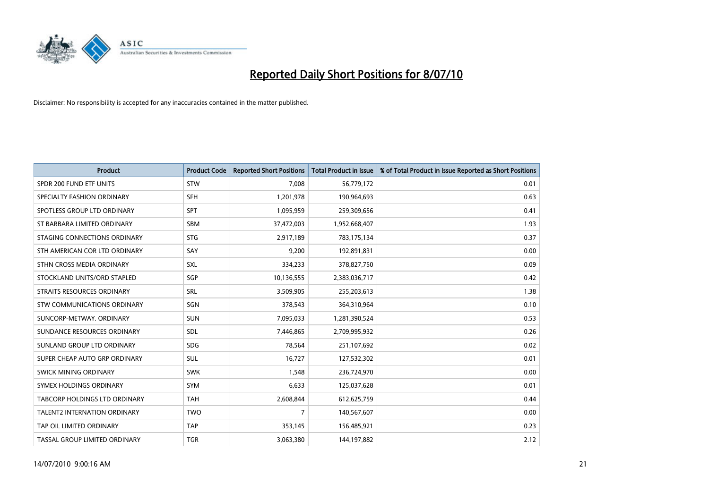

| <b>Product</b>                       | <b>Product Code</b> | <b>Reported Short Positions</b> | Total Product in Issue | % of Total Product in Issue Reported as Short Positions |
|--------------------------------------|---------------------|---------------------------------|------------------------|---------------------------------------------------------|
| SPDR 200 FUND ETF UNITS              | <b>STW</b>          | 7,008                           | 56,779,172             | 0.01                                                    |
| SPECIALTY FASHION ORDINARY           | SFH                 | 1,201,978                       | 190,964,693            | 0.63                                                    |
| SPOTLESS GROUP LTD ORDINARY          | <b>SPT</b>          | 1,095,959                       | 259,309,656            | 0.41                                                    |
| ST BARBARA LIMITED ORDINARY          | SBM                 | 37,472,003                      | 1,952,668,407          | 1.93                                                    |
| STAGING CONNECTIONS ORDINARY         | <b>STG</b>          | 2,917,189                       | 783,175,134            | 0.37                                                    |
| STH AMERICAN COR LTD ORDINARY        | SAY                 | 9,200                           | 192,891,831            | 0.00                                                    |
| STHN CROSS MEDIA ORDINARY            | SXL                 | 334,233                         | 378,827,750            | 0.09                                                    |
| STOCKLAND UNITS/ORD STAPLED          | SGP                 | 10,136,555                      | 2,383,036,717          | 0.42                                                    |
| STRAITS RESOURCES ORDINARY           | SRL                 | 3,509,905                       | 255,203,613            | 1.38                                                    |
| <b>STW COMMUNICATIONS ORDINARY</b>   | SGN                 | 378,543                         | 364,310,964            | 0.10                                                    |
| SUNCORP-METWAY, ORDINARY             | <b>SUN</b>          | 7,095,033                       | 1,281,390,524          | 0.53                                                    |
| SUNDANCE RESOURCES ORDINARY          | <b>SDL</b>          | 7,446,865                       | 2,709,995,932          | 0.26                                                    |
| SUNLAND GROUP LTD ORDINARY           | <b>SDG</b>          | 78,564                          | 251,107,692            | 0.02                                                    |
| SUPER CHEAP AUTO GRP ORDINARY        | SUL                 | 16,727                          | 127,532,302            | 0.01                                                    |
| <b>SWICK MINING ORDINARY</b>         | <b>SWK</b>          | 1,548                           | 236,724,970            | 0.00                                                    |
| SYMEX HOLDINGS ORDINARY              | SYM                 | 6,633                           | 125,037,628            | 0.01                                                    |
| <b>TABCORP HOLDINGS LTD ORDINARY</b> | <b>TAH</b>          | 2,608,844                       | 612,625,759            | 0.44                                                    |
| TALENT2 INTERNATION ORDINARY         | <b>TWO</b>          | 7                               | 140,567,607            | 0.00                                                    |
| TAP OIL LIMITED ORDINARY             | <b>TAP</b>          | 353,145                         | 156,485,921            | 0.23                                                    |
| TASSAL GROUP LIMITED ORDINARY        | <b>TGR</b>          | 3,063,380                       | 144,197,882            | 2.12                                                    |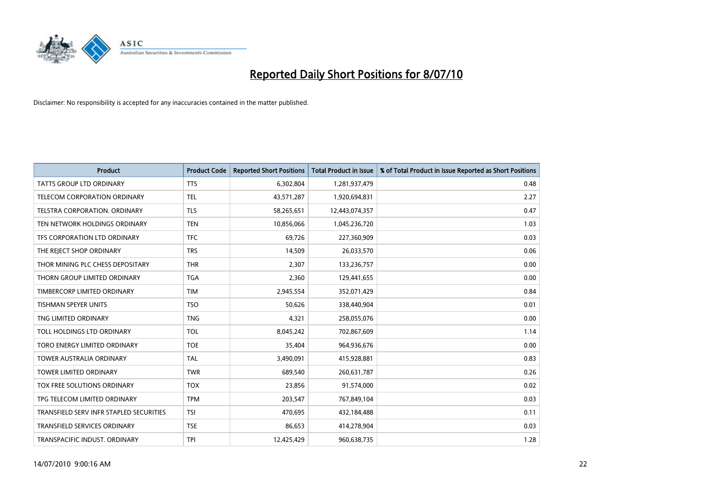

| <b>Product</b>                          | <b>Product Code</b> | <b>Reported Short Positions</b> | <b>Total Product in Issue</b> | % of Total Product in Issue Reported as Short Positions |
|-----------------------------------------|---------------------|---------------------------------|-------------------------------|---------------------------------------------------------|
| <b>TATTS GROUP LTD ORDINARY</b>         | <b>TTS</b>          | 6,302,804                       | 1,281,937,479                 | 0.48                                                    |
| TELECOM CORPORATION ORDINARY            | <b>TEL</b>          | 43,571,287                      | 1,920,694,831                 | 2.27                                                    |
| TELSTRA CORPORATION, ORDINARY           | <b>TLS</b>          | 58,265,651                      | 12,443,074,357                | 0.47                                                    |
| TEN NETWORK HOLDINGS ORDINARY           | <b>TEN</b>          | 10,856,066                      | 1,045,236,720                 | 1.03                                                    |
| TFS CORPORATION LTD ORDINARY            | <b>TFC</b>          | 69,726                          | 227,360,909                   | 0.03                                                    |
| THE REJECT SHOP ORDINARY                | <b>TRS</b>          | 14,509                          | 26,033,570                    | 0.06                                                    |
| THOR MINING PLC CHESS DEPOSITARY        | <b>THR</b>          | 2.307                           | 133,236,757                   | 0.00                                                    |
| THORN GROUP LIMITED ORDINARY            | <b>TGA</b>          | 2,360                           | 129,441,655                   | 0.00                                                    |
| TIMBERCORP LIMITED ORDINARY             | <b>TIM</b>          | 2,945,554                       | 352,071,429                   | 0.84                                                    |
| <b>TISHMAN SPEYER UNITS</b>             | <b>TSO</b>          | 50,626                          | 338,440,904                   | 0.01                                                    |
| TNG LIMITED ORDINARY                    | <b>TNG</b>          | 4,321                           | 258,055,076                   | 0.00                                                    |
| TOLL HOLDINGS LTD ORDINARY              | <b>TOL</b>          | 8,045,242                       | 702,867,609                   | 1.14                                                    |
| TORO ENERGY LIMITED ORDINARY            | <b>TOE</b>          | 35,404                          | 964,936,676                   | 0.00                                                    |
| <b>TOWER AUSTRALIA ORDINARY</b>         | <b>TAL</b>          | 3,490,091                       | 415,928,881                   | 0.83                                                    |
| <b>TOWER LIMITED ORDINARY</b>           | <b>TWR</b>          | 689,540                         | 260,631,787                   | 0.26                                                    |
| TOX FREE SOLUTIONS ORDINARY             | <b>TOX</b>          | 23,856                          | 91,574,000                    | 0.02                                                    |
| TPG TELECOM LIMITED ORDINARY            | <b>TPM</b>          | 203,547                         | 767,849,104                   | 0.03                                                    |
| TRANSFIELD SERV INFR STAPLED SECURITIES | <b>TSI</b>          | 470,695                         | 432,184,488                   | 0.11                                                    |
| <b>TRANSFIELD SERVICES ORDINARY</b>     | <b>TSE</b>          | 86,653                          | 414,278,904                   | 0.03                                                    |
| TRANSPACIFIC INDUST, ORDINARY           | <b>TPI</b>          | 12,425,429                      | 960,638,735                   | 1.28                                                    |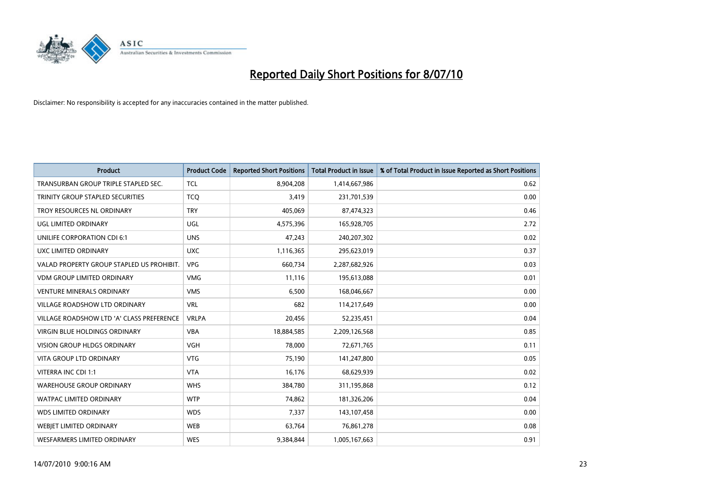

| <b>Product</b>                            | <b>Product Code</b> | <b>Reported Short Positions</b> | <b>Total Product in Issue</b> | % of Total Product in Issue Reported as Short Positions |
|-------------------------------------------|---------------------|---------------------------------|-------------------------------|---------------------------------------------------------|
| TRANSURBAN GROUP TRIPLE STAPLED SEC.      | <b>TCL</b>          | 8,904,208                       | 1,414,667,986                 | 0.62                                                    |
| TRINITY GROUP STAPLED SECURITIES          | <b>TCO</b>          | 3,419                           | 231,701,539                   | 0.00                                                    |
| TROY RESOURCES NL ORDINARY                | <b>TRY</b>          | 405,069                         | 87,474,323                    | 0.46                                                    |
| UGL LIMITED ORDINARY                      | UGL                 | 4,575,396                       | 165,928,705                   | 2.72                                                    |
| UNILIFE CORPORATION CDI 6:1               | <b>UNS</b>          | 47,243                          | 240,207,302                   | 0.02                                                    |
| UXC LIMITED ORDINARY                      | <b>UXC</b>          | 1,116,365                       | 295,623,019                   | 0.37                                                    |
| VALAD PROPERTY GROUP STAPLED US PROHIBIT. | <b>VPG</b>          | 660,734                         | 2,287,682,926                 | 0.03                                                    |
| VDM GROUP LIMITED ORDINARY                | <b>VMG</b>          | 11,116                          | 195,613,088                   | 0.01                                                    |
| <b>VENTURE MINERALS ORDINARY</b>          | <b>VMS</b>          | 6,500                           | 168,046,667                   | 0.00                                                    |
| <b>VILLAGE ROADSHOW LTD ORDINARY</b>      | <b>VRL</b>          | 682                             | 114,217,649                   | 0.00                                                    |
| VILLAGE ROADSHOW LTD 'A' CLASS PREFERENCE | <b>VRLPA</b>        | 20,456                          | 52,235,451                    | 0.04                                                    |
| <b>VIRGIN BLUE HOLDINGS ORDINARY</b>      | <b>VBA</b>          | 18,884,585                      | 2,209,126,568                 | 0.85                                                    |
| <b>VISION GROUP HLDGS ORDINARY</b>        | <b>VGH</b>          | 78,000                          | 72,671,765                    | 0.11                                                    |
| <b>VITA GROUP LTD ORDINARY</b>            | <b>VTG</b>          | 75,190                          | 141,247,800                   | 0.05                                                    |
| VITERRA INC CDI 1:1                       | <b>VTA</b>          | 16,176                          | 68,629,939                    | 0.02                                                    |
| <b>WAREHOUSE GROUP ORDINARY</b>           | <b>WHS</b>          | 384,780                         | 311,195,868                   | 0.12                                                    |
| <b>WATPAC LIMITED ORDINARY</b>            | <b>WTP</b>          | 74,862                          | 181,326,206                   | 0.04                                                    |
| WDS LIMITED ORDINARY                      | <b>WDS</b>          | 7,337                           | 143,107,458                   | 0.00                                                    |
| <b>WEBJET LIMITED ORDINARY</b>            | WEB                 | 63,764                          | 76,861,278                    | 0.08                                                    |
| WESFARMERS LIMITED ORDINARY               | <b>WES</b>          | 9,384,844                       | 1,005,167,663                 | 0.91                                                    |